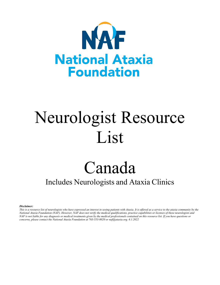

# Neurologist Resource List

# Canada

# Includes Neurologists and Ataxia Clinics

*Disclaimer:*

*This is a resource list of neurologists who have expressed an interest in seeing patients with Ataxia. It is offered as a service to the ataxia community by the National Ataxia Foundation (NAF). However, NAF does not verify the medical qualifications, practice capabilities or licenses of these neurologists and NAF is not liable for any diagnosis or medical treatments given by the medical professionals contained on this resource list. If you have questions or concerns, please contact the National Ataxia Foundation at 763-553-0020 or naf@ataxia.org. 6.1.2022*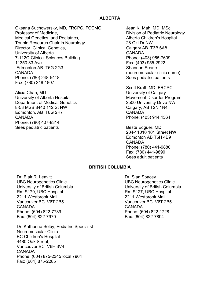## **ALBERTA**

Oksana Suchowersky, MD, FRCPC, FCCMG Professor of Medicine, Medical Genetics, and Pediatrics, Toupin Research Chair in Neurology Director, Clinical Genetics, University of Alberta 7-112Q Clinical Sciences Building 11350 83 Ave Edmonton AB T6G 2G3 CANADA Phone: (780) 248-5418 Fax: (780) 248-1807

Alicia Chan, MD University of Alberta Hospital Department of Medical Genetics 8-53 MSB 8440 112 St NW Edmonton, AB T6G 2H7 CANADA Phone: (780) 407-8314 Sees pediatric patients

Jean K. Mah, MD, MSc Division of Pediatric Neurology Alberta Children's Hospital 28 Oki Dr NW Calgary AB T3B 6A8 CANADA Phone: (403) 955-7609 – Fax: (403) 955-2922 Shannon Searle (neuromuscular clinic nurse) Sees pediatric patients

Scott Kraft, MD, FRCPC University of Calgary Movement Disorder Program 2500 University Drive NW Calgary, AB T2N 1N4 CANADA Phone: (403) 944.4364

Beste Edguer, MD 204-11010 101 Street NW Edmonton AB T5H 4B9 CANADA Phone: (780) 441-9880 Fax: (780) 441-9890 Sees adult patients

### **BRITISH COLUMBIA**

Dr. Blair R. Leavitt UBC Neurogenetics Clinic University of British Columbia Rm S179, UBC Hospital 2211 Westbrook Mall Vancouver BC V6T 2B5 CANADA Phone: (604) 822-7739 Fax: (604) 822-7970

Dr. Katherine Selby, Pediatric Specialist Neuromuscular Clinic BC Children's Hospital 4480 Oak Street, Vancouver BC V6H 3V4 CANADA Phone: (604) 875-2345 local 7964 Fax: (604) 875-2285

Dr. Sian Spacey UBC Neurogenetics Clinic University of British Columbia Rm S127, UBC Hospital 2211 Westbrook Mall Vancouver BC V6T 2B5 CANADA Phone: (604) 822-1728 Fax: (604) 822-7894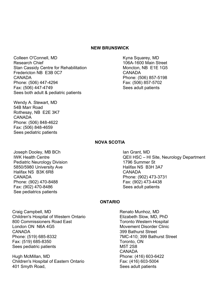#### **NEW BRUNSWICK**

Colleen O'Connell, MD Research Chief Stan Cassidy Centre for Rehabilitation Fredericton NB E3B 0C7 CANADA Phone: (506) 447-4294 Fax: (506) 447-4749 Sees both adult & pediatric patients

Wendy A. Stewart, MD 54B Marr Road Rothesay, NB E2E 3K7 CANADA Phone: (506) 848-4622 Fax: (506) 848-4659 Sees pediatric patients

Kyna Squarey, MD 106A-1600 Main Street Moncton, NB E1E 1G5 CANADA Phone: (506) 857-5198 Fax: (506) 857-5702 Sees adult patients

#### **NOVA SCOTIA**

Joseph Dooley, MB BCh IWK Health Centre Pediatric Neurology Division 5850/5980 University Ave Halifax NS B3K 6R8 CANADA Phone: (902) 470-8488 Fax: (902) 470-8486 See pediatrics patients

Ian Grant, MD QEII HSC – HI Site, Neurology Department 1796 Summer St Halifax NS B3H 3A7 CANADA Phone: (902) 473-3731 Fax: (902) 473-4438 Sees adult patients

#### **ONTARIO**

Craig Campbell, MD Children's Hospital of Western Ontario 800 Commissioners Road East London ON N6A 4G5 CANADA Phone: (519) 685-8332 Fax: (519) 685-8350 Sees pediatric patients

Hugh McMillan, MD Children's Hospital of Eastern Ontario 401 Smyth Road,

Renato Munhoz, MD Elizabeth Slow, MD, PhD Toronto Western Hospital Movement Disorder Clinic 399 Bathurst Street 7MC-410; 399 Bathurst Street Toronto, ON M5T 2S8 CANADA Phone: (416) 603-6422 Fax: (416) 603-5004 Sees adult patients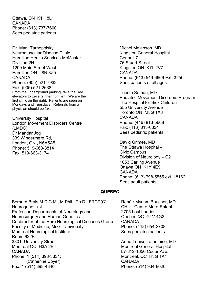Ottawa, ON K1H 8L1 CANADA Phone: (613) 737-7600 Sees pediatric patients

Dr. Mark Tarnopolsky Neuromuscular Disease Clinic Hamilton Health Services-McMaster Division 2H 1200 Main Street West Hamilton ON L8N 3Z5 CANADA Phone: (905) 521-7933 Fax: (905) 521-2638 From the underground parking, take the Red elevators to Level 2, then turn left. We are the first clinic on the right. Patients are seen on Mondays and Tuesdays. Referrals from a physician should be faxed.

University Hospital London Movement Disorders Centre (LMDC) Dr Mandar Jog 339 Windermere Rd, London, ON , N6A5A5 Phone: 519-663-3814 Fax: 519-663-3174

Michel Melanson, MD Kingston General Hospital Connell 7 76 Stuart Street Kingston ON K7L 2V7 CANADA Phone: (613) 549-6666 Ext. 3250 Sees patients of all ages.

Teesta Soman, MD Pediatric Movement Disorders Program The Hospital for Sick Children 555 University Avenue Toronto ON M5G 1X8 CANADA Phone: (416) 813-5668 Fax: (416) 813-6334 Sees pediatric patients

David Grimes, MD The Ottawa Hospital – Civic Campus Division of Neurology – C2 1053 Carling Avenue Ottawa ON K1Y 4E9 CANADA Phone: (613) 798-5555 ext. 18162 Sees adult patients

### **QUEBEC**

Bernard Brais M.D.C.M., M.Phil., Ph.D., FRCP(C) **Neurogeneticist** Professor, Departments of Neurology and Neurosurgery and Human Genetics Co-director of the Rare Neurological Diseases Group Faculty of Medicine, McGill University Montreal Neurological Institute Room 622B 3801, University Street Montreal QC H3A 2B4 CANADA Phone: 1 (514) 398-3334; (Catherine Boyer) Fax: 1 (514) 398-4340

Renée-Myriam Boucher, MD CHUL-Centre Mère-Enfant 2705 boul Laurier Québec QC G1V 4G2 CANADA Phone: (418) 654-2708 Sees pediatric patients

Anne-Louise Lafontaine, MD Montreal General Hospital L7-312-1650 Cedar Ave. Montreal, QC H3G 1A4 CANADA Phone: (514) 934-8026